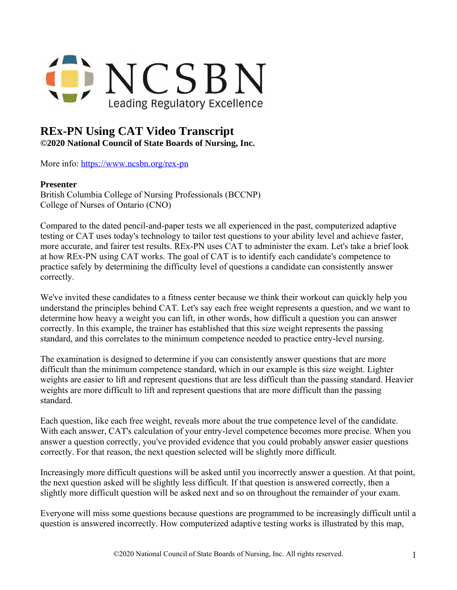

## **REx-PN Using CAT Video Transcript**

**©2020 National Council of State Boards of Nursing, Inc.** 

More info: <https://www.ncsbn.org/rex-pn>

## **Presenter**

British Columbia College of Nursing Professionals (BCCNP) College of Nurses of Ontario (CNO)

Compared to the dated pencil-and-paper tests we all experienced in the past, computerized adaptive testing or CAT uses today's technology to tailor test questions to your ability level and achieve faster, more accurate, and fairer test results. REx-PN uses CAT to administer the exam. Let's take a brief look at how REx-PN using CAT works. The goal of CAT is to identify each candidate's competence to practice safely by determining the difficulty level of questions a candidate can consistently answer correctly.

We've invited these candidates to a fitness center because we think their workout can quickly help you understand the principles behind CAT. Let's say each free weight represents a question, and we want to determine how heavy a weight you can lift, in other words, how difficult a question you can answer correctly. In this example, the trainer has established that this size weight represents the passing standard, and this correlates to the minimum competence needed to practice entry-level nursing.

The examination is designed to determine if you can consistently answer questions that are more difficult than the minimum competence standard, which in our example is this size weight. Lighter weights are easier to lift and represent questions that are less difficult than the passing standard. Heavier weights are more difficult to lift and represent questions that are more difficult than the passing standard.

Each question, like each free weight, reveals more about the true competence level of the candidate. With each answer, CAT's calculation of your entry-level competence becomes more precise. When you answer a question correctly, you've provided evidence that you could probably answer easier questions correctly. For that reason, the next question selected will be slightly more difficult.

Increasingly more difficult questions will be asked until you incorrectly answer a question. At that point, the next question asked will be slightly less difficult. If that question is answered correctly, then a slightly more difficult question will be asked next and so on throughout the remainder of your exam.

Everyone will miss some questions because questions are programmed to be increasingly difficult until a question is answered incorrectly. How computerized adaptive testing works is illustrated by this map,